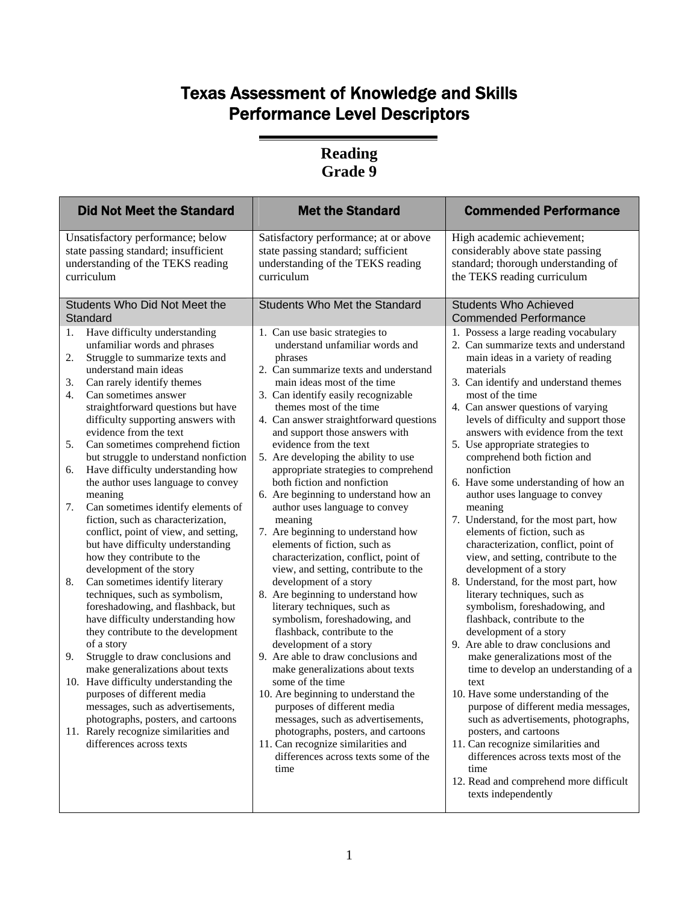# Texas Assessment of Knowledge and Skills Performance Level Descriptors

#### **Reading Grade 9**

| <b>Did Not Meet the Standard</b>                                                                                                                                                                                                                                                                                                                                                                                                                                                                                                                                                                                                                                                                                                                                                                                                                                                                                                                                                                                                                                                                                                                                                                                                      | <b>Met the Standard</b>                                                                                                                                                                                                                                                                                                                                                                                                                                                                                                                                                                                                                                                                                                                                                                                                                                                                                                                                                                                                                                                                                                                                                   | <b>Commended Performance</b>                                                                                                                                                                                                                                                                                                                                                                                                                                                                                                                                                                                                                                                                                                                                                                                                                                                                                                                                                                                                                                                                                                                                        |  |  |
|---------------------------------------------------------------------------------------------------------------------------------------------------------------------------------------------------------------------------------------------------------------------------------------------------------------------------------------------------------------------------------------------------------------------------------------------------------------------------------------------------------------------------------------------------------------------------------------------------------------------------------------------------------------------------------------------------------------------------------------------------------------------------------------------------------------------------------------------------------------------------------------------------------------------------------------------------------------------------------------------------------------------------------------------------------------------------------------------------------------------------------------------------------------------------------------------------------------------------------------|---------------------------------------------------------------------------------------------------------------------------------------------------------------------------------------------------------------------------------------------------------------------------------------------------------------------------------------------------------------------------------------------------------------------------------------------------------------------------------------------------------------------------------------------------------------------------------------------------------------------------------------------------------------------------------------------------------------------------------------------------------------------------------------------------------------------------------------------------------------------------------------------------------------------------------------------------------------------------------------------------------------------------------------------------------------------------------------------------------------------------------------------------------------------------|---------------------------------------------------------------------------------------------------------------------------------------------------------------------------------------------------------------------------------------------------------------------------------------------------------------------------------------------------------------------------------------------------------------------------------------------------------------------------------------------------------------------------------------------------------------------------------------------------------------------------------------------------------------------------------------------------------------------------------------------------------------------------------------------------------------------------------------------------------------------------------------------------------------------------------------------------------------------------------------------------------------------------------------------------------------------------------------------------------------------------------------------------------------------|--|--|
| Unsatisfactory performance; below<br>state passing standard; insufficient<br>understanding of the TEKS reading<br>curriculum                                                                                                                                                                                                                                                                                                                                                                                                                                                                                                                                                                                                                                                                                                                                                                                                                                                                                                                                                                                                                                                                                                          | Satisfactory performance; at or above<br>state passing standard; sufficient<br>understanding of the TEKS reading<br>curriculum                                                                                                                                                                                                                                                                                                                                                                                                                                                                                                                                                                                                                                                                                                                                                                                                                                                                                                                                                                                                                                            | High academic achievement;<br>considerably above state passing<br>standard; thorough understanding of<br>the TEKS reading curriculum                                                                                                                                                                                                                                                                                                                                                                                                                                                                                                                                                                                                                                                                                                                                                                                                                                                                                                                                                                                                                                |  |  |
| Students Who Did Not Meet the<br>Standard                                                                                                                                                                                                                                                                                                                                                                                                                                                                                                                                                                                                                                                                                                                                                                                                                                                                                                                                                                                                                                                                                                                                                                                             | <b>Students Who Met the Standard</b>                                                                                                                                                                                                                                                                                                                                                                                                                                                                                                                                                                                                                                                                                                                                                                                                                                                                                                                                                                                                                                                                                                                                      | <b>Students Who Achieved</b><br><b>Commended Performance</b>                                                                                                                                                                                                                                                                                                                                                                                                                                                                                                                                                                                                                                                                                                                                                                                                                                                                                                                                                                                                                                                                                                        |  |  |
| Have difficulty understanding<br>1.<br>unfamiliar words and phrases<br>Struggle to summarize texts and<br>2.<br>understand main ideas<br>3.<br>Can rarely identify themes<br>4.<br>Can sometimes answer<br>straightforward questions but have<br>difficulty supporting answers with<br>evidence from the text<br>Can sometimes comprehend fiction<br>5.<br>but struggle to understand nonfiction<br>Have difficulty understanding how<br>6.<br>the author uses language to convey<br>meaning<br>Can sometimes identify elements of<br>7.<br>fiction, such as characterization,<br>conflict, point of view, and setting,<br>but have difficulty understanding<br>how they contribute to the<br>development of the story<br>Can sometimes identify literary<br>8.<br>techniques, such as symbolism,<br>foreshadowing, and flashback, but<br>have difficulty understanding how<br>they contribute to the development<br>of a story<br>Struggle to draw conclusions and<br>9.<br>make generalizations about texts<br>10. Have difficulty understanding the<br>purposes of different media<br>messages, such as advertisements,<br>photographs, posters, and cartoons<br>11. Rarely recognize similarities and<br>differences across texts | 1. Can use basic strategies to<br>understand unfamiliar words and<br>phrases<br>2. Can summarize texts and understand<br>main ideas most of the time<br>3. Can identify easily recognizable<br>themes most of the time<br>4. Can answer straightforward questions<br>and support those answers with<br>evidence from the text<br>5. Are developing the ability to use<br>appropriate strategies to comprehend<br>both fiction and nonfiction<br>6. Are beginning to understand how an<br>author uses language to convey<br>meaning<br>7. Are beginning to understand how<br>elements of fiction, such as<br>characterization, conflict, point of<br>view, and setting, contribute to the<br>development of a story<br>8. Are beginning to understand how<br>literary techniques, such as<br>symbolism, foreshadowing, and<br>flashback, contribute to the<br>development of a story<br>9. Are able to draw conclusions and<br>make generalizations about texts<br>some of the time<br>10. Are beginning to understand the<br>purposes of different media<br>messages, such as advertisements,<br>photographs, posters, and cartoons<br>11. Can recognize similarities and | 1. Possess a large reading vocabulary<br>2. Can summarize texts and understand<br>main ideas in a variety of reading<br>materials<br>3. Can identify and understand themes<br>most of the time<br>4. Can answer questions of varying<br>levels of difficulty and support those<br>answers with evidence from the text<br>5. Use appropriate strategies to<br>comprehend both fiction and<br>nonfiction<br>6. Have some understanding of how an<br>author uses language to convey<br>meaning<br>7. Understand, for the most part, how<br>elements of fiction, such as<br>characterization, conflict, point of<br>view, and setting, contribute to the<br>development of a story<br>8. Understand, for the most part, how<br>literary techniques, such as<br>symbolism, foreshadowing, and<br>flashback, contribute to the<br>development of a story<br>9. Are able to draw conclusions and<br>make generalizations most of the<br>time to develop an understanding of a<br>text<br>10. Have some understanding of the<br>purpose of different media messages,<br>such as advertisements, photographs,<br>posters, and cartoons<br>11. Can recognize similarities and |  |  |
|                                                                                                                                                                                                                                                                                                                                                                                                                                                                                                                                                                                                                                                                                                                                                                                                                                                                                                                                                                                                                                                                                                                                                                                                                                       | differences across texts some of the<br>time                                                                                                                                                                                                                                                                                                                                                                                                                                                                                                                                                                                                                                                                                                                                                                                                                                                                                                                                                                                                                                                                                                                              | differences across texts most of the<br>time<br>12. Read and comprehend more difficult<br>texts independently                                                                                                                                                                                                                                                                                                                                                                                                                                                                                                                                                                                                                                                                                                                                                                                                                                                                                                                                                                                                                                                       |  |  |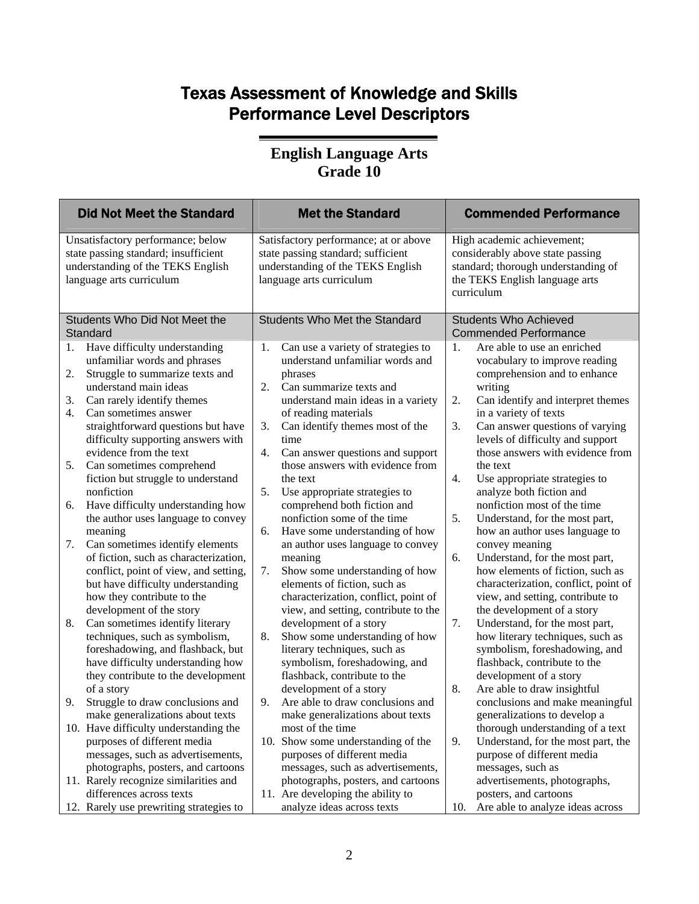## Texas Assessment of Knowledge and Skills Performance Level Descriptors

#### **English Language Arts Grade 10**

| <b>Did Not Meet the Standard</b>                                                                                                                                                                                                                                                    | <b>Met the Standard</b>                                                                                                                                                                                                                | <b>Commended Performance</b>                                                                                                                                                                                                                                   |  |
|-------------------------------------------------------------------------------------------------------------------------------------------------------------------------------------------------------------------------------------------------------------------------------------|----------------------------------------------------------------------------------------------------------------------------------------------------------------------------------------------------------------------------------------|----------------------------------------------------------------------------------------------------------------------------------------------------------------------------------------------------------------------------------------------------------------|--|
| Unsatisfactory performance; below<br>state passing standard; insufficient<br>understanding of the TEKS English<br>language arts curriculum                                                                                                                                          | Satisfactory performance; at or above<br>state passing standard; sufficient<br>understanding of the TEKS English<br>language arts curriculum                                                                                           | High academic achievement;<br>considerably above state passing<br>standard; thorough understanding of<br>the TEKS English language arts<br>curriculum                                                                                                          |  |
| Students Who Did Not Meet the<br>Standard                                                                                                                                                                                                                                           | <b>Students Who Met the Standard</b>                                                                                                                                                                                                   | <b>Students Who Achieved</b><br><b>Commended Performance</b>                                                                                                                                                                                                   |  |
| Have difficulty understanding<br>1.<br>unfamiliar words and phrases<br>Struggle to summarize texts and<br>2.<br>understand main ideas<br>Can rarely identify themes<br>3.<br>4.<br>Can sometimes answer<br>straightforward questions but have<br>difficulty supporting answers with | Can use a variety of strategies to<br>1.<br>understand unfamiliar words and<br>phrases<br>2.<br>Can summarize texts and<br>understand main ideas in a variety<br>of reading materials<br>3.<br>Can identify themes most of the<br>time | 1.<br>Are able to use an enriched<br>vocabulary to improve reading<br>comprehension and to enhance<br>writing<br>2.<br>Can identify and interpret themes<br>in a variety of texts<br>3.<br>Can answer questions of varying<br>levels of difficulty and support |  |
| evidence from the text<br>Can sometimes comprehend<br>5.<br>fiction but struggle to understand<br>nonfiction                                                                                                                                                                        | 4.<br>Can answer questions and support<br>those answers with evidence from<br>the text<br>Use appropriate strategies to<br>5.                                                                                                          | those answers with evidence from<br>the text<br>4.<br>Use appropriate strategies to<br>analyze both fiction and                                                                                                                                                |  |
| Have difficulty understanding how<br>6.<br>the author uses language to convey<br>meaning                                                                                                                                                                                            | comprehend both fiction and<br>nonfiction some of the time<br>Have some understanding of how<br>6.                                                                                                                                     | nonfiction most of the time<br>5.<br>Understand, for the most part,<br>how an author uses language to                                                                                                                                                          |  |
| Can sometimes identify elements<br>7.<br>of fiction, such as characterization,<br>conflict, point of view, and setting,<br>but have difficulty understanding<br>how they contribute to the<br>development of the story                                                              | an author uses language to convey<br>meaning<br>7.<br>Show some understanding of how<br>elements of fiction, such as<br>characterization, conflict, point of<br>view, and setting, contribute to the                                   | convey meaning<br>Understand, for the most part,<br>6.<br>how elements of fiction, such as<br>characterization, conflict, point of<br>view, and setting, contribute to<br>the development of a story                                                           |  |
| Can sometimes identify literary<br>8.<br>techniques, such as symbolism,<br>foreshadowing, and flashback, but<br>have difficulty understanding how<br>they contribute to the development<br>of a story                                                                               | development of a story<br>Show some understanding of how<br>8.<br>literary techniques, such as<br>symbolism, foreshadowing, and<br>flashback, contribute to the<br>development of a story                                              | Understand, for the most part,<br>7.<br>how literary techniques, such as<br>symbolism, foreshadowing, and<br>flashback, contribute to the<br>development of a story<br>8.<br>Are able to draw insightful                                                       |  |
| Struggle to draw conclusions and<br>9.<br>make generalizations about texts                                                                                                                                                                                                          | 9.<br>Are able to draw conclusions and<br>make generalizations about texts                                                                                                                                                             | conclusions and make meaningful<br>generalizations to develop a                                                                                                                                                                                                |  |
| 10. Have difficulty understanding the<br>purposes of different media<br>messages, such as advertisements,<br>photographs, posters, and cartoons                                                                                                                                     | most of the time<br>10. Show some understanding of the<br>purposes of different media<br>messages, such as advertisements,                                                                                                             | thorough understanding of a text<br>9.<br>Understand, for the most part, the<br>purpose of different media<br>messages, such as                                                                                                                                |  |
| 11. Rarely recognize similarities and<br>differences across texts                                                                                                                                                                                                                   | photographs, posters, and cartoons<br>11. Are developing the ability to                                                                                                                                                                | advertisements, photographs,<br>posters, and cartoons                                                                                                                                                                                                          |  |
| 12. Rarely use prewriting strategies to                                                                                                                                                                                                                                             | analyze ideas across texts                                                                                                                                                                                                             | Are able to analyze ideas across<br>10.                                                                                                                                                                                                                        |  |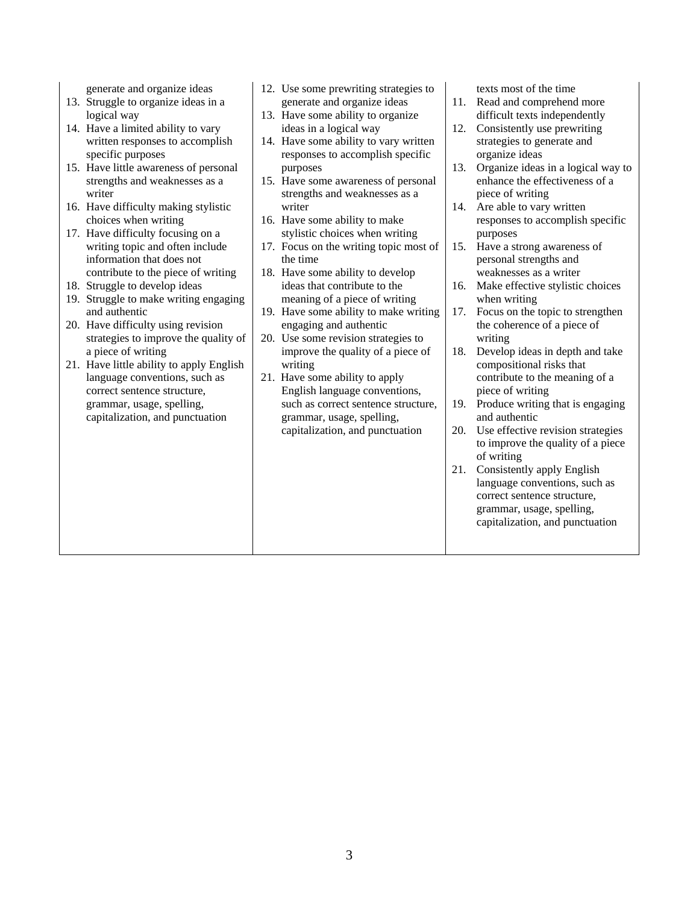generate and organize ideas

- 13. Struggle to organize ideas in a logical way
- 14. Have a limited ability to vary written responses to accomplish specific purposes
- 15. Have little awareness of personal strengths and weaknesses as a writer
- 16. Have difficulty making stylistic choices when writing
- 17. Have difficulty focusing on a writing topic and often include information that does not contribute to the piece of writing
- 18. Struggle to develop ideas
- 19. Struggle to make writing engaging and authentic
- 20. Have difficulty using revision strategies to improve the quality of a piece of writing
- 21. Have little ability to apply English language conventions, such as correct sentence structure, grammar, usage, spelling, capitalization, and punctuation
- 12. Use some prewriting strategies to generate and organize ideas
- 13. Have some ability to organize ideas in a logical way
- 14. Have some ability to vary written responses to accomplish specific purposes
- 15. Have some awareness of personal strengths and weaknesses as a writer
- 16. Have some ability to make stylistic choices when writing
- 17. Focus on the writing topic most of the time
- 18. Have some ability to develop ideas that contribute to the meaning of a piece of writing
- 19. Have some ability to make writing engaging and authentic
- 20. Use some revision strategies to improve the quality of a piece of writing
- 21. Have some ability to apply English language conventions, such as correct sentence structure, grammar, usage, spelling, capitalization, and punctuation

texts most of the time

- 11. Read and comprehend more difficult texts independently
- 12. Consistently use prewriting strategies to generate and organize ideas
- 13. Organize ideas in a logical way to enhance the effectiveness of a piece of writing
- 14. Are able to vary written responses to accomplish specific purposes
- 15. Have a strong awareness of personal strengths and weaknesses as a writer
- 16. Make effective stylistic choices when writing
- 17. Focus on the topic to strengthen the coherence of a piece of writing
- 18. Develop ideas in depth and take compositional risks that contribute to the meaning of a piece of writing
- 19. Produce writing that is engaging and authentic
- 20. Use effective revision strategies to improve the quality of a piece of writing
- 21. Consistently apply English language conventions, such as correct sentence structure, grammar, usage, spelling, capitalization, and punctuation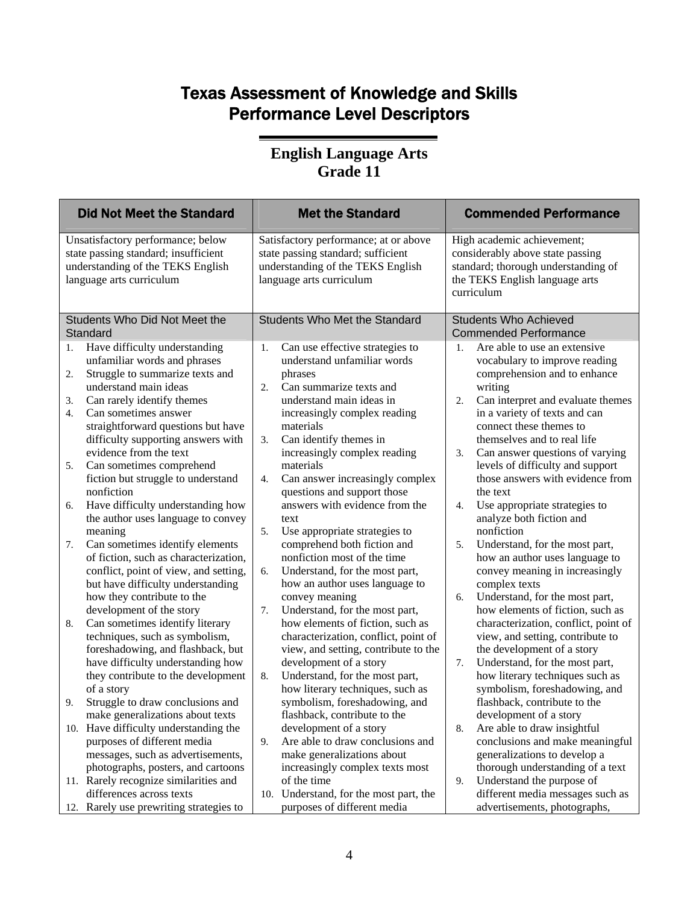## Texas Assessment of Knowledge and Skills Performance Level Descriptors

#### **English Language Arts Grade 11**

| <b>Did Not Meet the Standard</b>                                                                                                           |                                                                                                                                                                                                                                                                                                                                                                                                                                                                                                                                                                                                                                                     | <b>Met the Standard</b>                                                                                                                      |                                                                                                                                                                                                                                                                                                                                                                                                                                                                                                                                                       | <b>Commended Performance</b>                                 |                                                                                                                                                                                                                                                                                                                                                                                                                                                                                                                                                                                                     |
|--------------------------------------------------------------------------------------------------------------------------------------------|-----------------------------------------------------------------------------------------------------------------------------------------------------------------------------------------------------------------------------------------------------------------------------------------------------------------------------------------------------------------------------------------------------------------------------------------------------------------------------------------------------------------------------------------------------------------------------------------------------------------------------------------------------|----------------------------------------------------------------------------------------------------------------------------------------------|-------------------------------------------------------------------------------------------------------------------------------------------------------------------------------------------------------------------------------------------------------------------------------------------------------------------------------------------------------------------------------------------------------------------------------------------------------------------------------------------------------------------------------------------------------|--------------------------------------------------------------|-----------------------------------------------------------------------------------------------------------------------------------------------------------------------------------------------------------------------------------------------------------------------------------------------------------------------------------------------------------------------------------------------------------------------------------------------------------------------------------------------------------------------------------------------------------------------------------------------------|
| Unsatisfactory performance; below<br>state passing standard; insufficient<br>understanding of the TEKS English<br>language arts curriculum |                                                                                                                                                                                                                                                                                                                                                                                                                                                                                                                                                                                                                                                     | Satisfactory performance; at or above<br>state passing standard; sufficient<br>understanding of the TEKS English<br>language arts curriculum |                                                                                                                                                                                                                                                                                                                                                                                                                                                                                                                                                       |                                                              | High academic achievement;<br>considerably above state passing<br>standard; thorough understanding of<br>the TEKS English language arts<br>curriculum                                                                                                                                                                                                                                                                                                                                                                                                                                               |
|                                                                                                                                            | Students Who Did Not Meet the<br>Standard                                                                                                                                                                                                                                                                                                                                                                                                                                                                                                                                                                                                           | <b>Students Who Met the Standard</b>                                                                                                         |                                                                                                                                                                                                                                                                                                                                                                                                                                                                                                                                                       | <b>Students Who Achieved</b><br><b>Commended Performance</b> |                                                                                                                                                                                                                                                                                                                                                                                                                                                                                                                                                                                                     |
| 1.<br>2.<br>3.<br>4.<br>5.<br>6.<br>7.                                                                                                     | Have difficulty understanding<br>unfamiliar words and phrases<br>Struggle to summarize texts and<br>understand main ideas<br>Can rarely identify themes<br>Can sometimes answer<br>straightforward questions but have<br>difficulty supporting answers with<br>evidence from the text<br>Can sometimes comprehend<br>fiction but struggle to understand<br>nonfiction<br>Have difficulty understanding how<br>the author uses language to convey<br>meaning<br>Can sometimes identify elements<br>of fiction, such as characterization,<br>conflict, point of view, and setting,<br>but have difficulty understanding<br>how they contribute to the | 1.<br>2.<br>3.<br>4.<br>5.<br>6.                                                                                                             | Can use effective strategies to<br>understand unfamiliar words<br>phrases<br>Can summarize texts and<br>understand main ideas in<br>increasingly complex reading<br>materials<br>Can identify themes in<br>increasingly complex reading<br>materials<br>Can answer increasingly complex<br>questions and support those<br>answers with evidence from the<br>text<br>Use appropriate strategies to<br>comprehend both fiction and<br>nonfiction most of the time<br>Understand, for the most part,<br>how an author uses language to<br>convey meaning | 1.<br>2.<br>3.<br>4.<br>5.<br>6.                             | Are able to use an extensive<br>vocabulary to improve reading<br>comprehension and to enhance<br>writing<br>Can interpret and evaluate themes<br>in a variety of texts and can<br>connect these themes to<br>themselves and to real life<br>Can answer questions of varying<br>levels of difficulty and support<br>those answers with evidence from<br>the text<br>Use appropriate strategies to<br>analyze both fiction and<br>nonfiction<br>Understand, for the most part,<br>how an author uses language to<br>convey meaning in increasingly<br>complex texts<br>Understand, for the most part, |
| 8.<br>9.                                                                                                                                   | development of the story<br>Can sometimes identify literary<br>techniques, such as symbolism,<br>foreshadowing, and flashback, but<br>have difficulty understanding how<br>they contribute to the development<br>of a story<br>Struggle to draw conclusions and<br>make generalizations about texts                                                                                                                                                                                                                                                                                                                                                 | 7.<br>8.                                                                                                                                     | Understand, for the most part,<br>how elements of fiction, such as<br>characterization, conflict, point of<br>view, and setting, contribute to the<br>development of a story<br>Understand, for the most part,<br>how literary techniques, such as<br>symbolism, foreshadowing, and<br>flashback, contribute to the                                                                                                                                                                                                                                   | 7.                                                           | how elements of fiction, such as<br>characterization, conflict, point of<br>view, and setting, contribute to<br>the development of a story<br>Understand, for the most part,<br>how literary techniques such as<br>symbolism, foreshadowing, and<br>flashback, contribute to the<br>development of a story                                                                                                                                                                                                                                                                                          |
|                                                                                                                                            | 10. Have difficulty understanding the<br>purposes of different media<br>messages, such as advertisements,<br>photographs, posters, and cartoons<br>11. Rarely recognize similarities and<br>differences across texts<br>12. Rarely use prewriting strategies to                                                                                                                                                                                                                                                                                                                                                                                     | 9.<br>10.                                                                                                                                    | development of a story<br>Are able to draw conclusions and<br>make generalizations about<br>increasingly complex texts most<br>of the time<br>Understand, for the most part, the<br>purposes of different media                                                                                                                                                                                                                                                                                                                                       | 8.<br>9.                                                     | Are able to draw insightful<br>conclusions and make meaningful<br>generalizations to develop a<br>thorough understanding of a text<br>Understand the purpose of<br>different media messages such as<br>advertisements, photographs,                                                                                                                                                                                                                                                                                                                                                                 |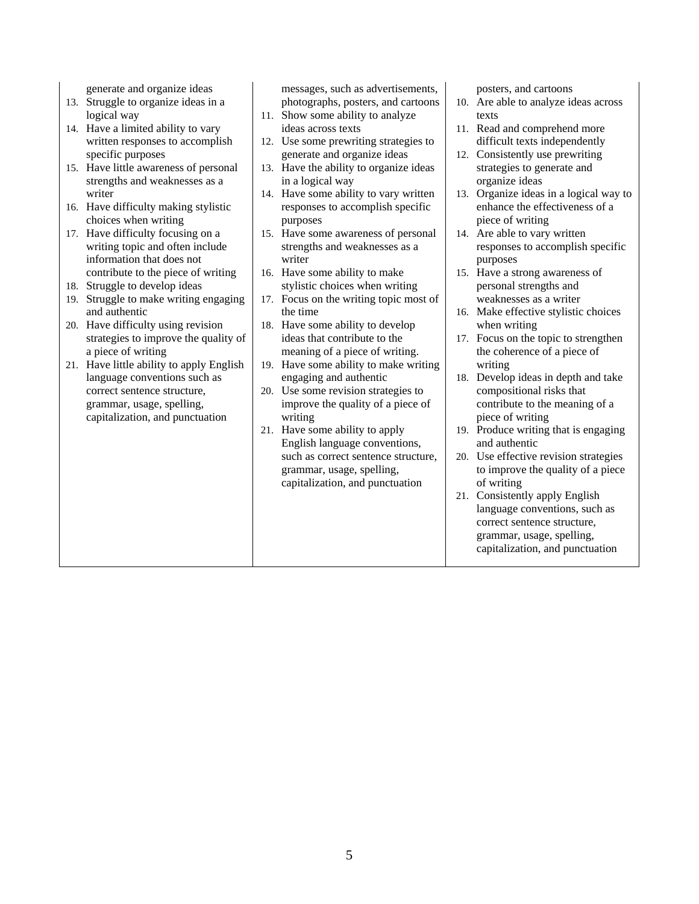generate and organize ideas

- 13. Struggle to organize ideas in a logical way
- 14. Have a limited ability to vary written responses to accomplish specific purposes
- 15. Have little awareness of personal strengths and weaknesses as a writer
- 16. Have difficulty making stylistic choices when writing
- 17. Have difficulty focusing on a writing topic and often include information that does not contribute to the piece of writing
- 18. Struggle to develop ideas
- 19. Struggle to make writing engaging and authentic
- 20. Have difficulty using revision strategies to improve the quality of a piece of writing
- 21. Have little ability to apply English language conventions such as correct sentence structure, grammar, usage, spelling, capitalization, and punctuation

messages, such as advertisements, photographs, posters, and cartoons

- 11. Show some ability to analyze ideas across texts
- 12. Use some prewriting strategies to generate and organize ideas
- 13. Have the ability to organize ideas in a logical way
- 14. Have some ability to vary written responses to accomplish specific purposes
- 15. Have some awareness of personal strengths and weaknesses as a writer
- 16. Have some ability to make stylistic choices when writing
- 17. Focus on the writing topic most of the time
- 18. Have some ability to develop ideas that contribute to the meaning of a piece of writing.
- 19. Have some ability to make writing engaging and authentic
- 20. Use some revision strategies to improve the quality of a piece of writing
- 21. Have some ability to apply English language conventions, such as correct sentence structure, grammar, usage, spelling, capitalization, and punctuation

posters, and cartoons

- 10. Are able to analyze ideas across texts
- 11. Read and comprehend more difficult texts independently
- 12. Consistently use prewriting strategies to generate and organize ideas
- 13. Organize ideas in a logical way to enhance the effectiveness of a piece of writing
- 14. Are able to vary written responses to accomplish specific purposes
- 15. Have a strong awareness of personal strengths and weaknesses as a writer
- 16. Make effective stylistic choices when writing
- 17. Focus on the topic to strengthen the coherence of a piece of writing
- 18. Develop ideas in depth and take compositional risks that contribute to the meaning of a piece of writing
- 19. Produce writing that is engaging and authentic
- 20. Use effective revision strategies to improve the quality of a piece of writing
- 21. Consistently apply English language conventions, such as correct sentence structure, grammar, usage, spelling, capitalization, and punctuation